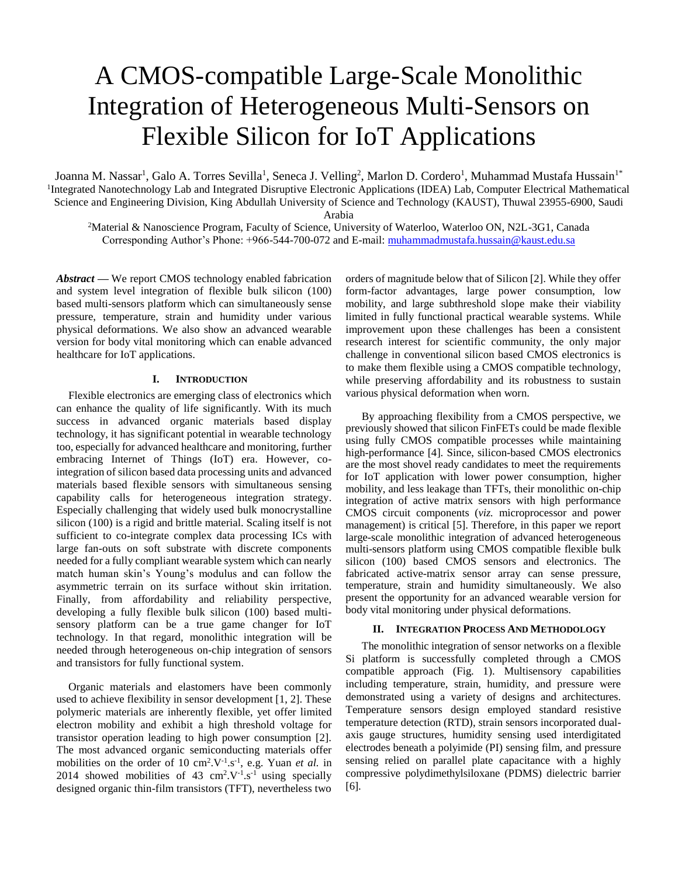# A CMOS-compatible Large-Scale Monolithic Integration of Heterogeneous Multi-Sensors on Flexible Silicon for IoT Applications

Joanna M. Nassar<sup>1</sup>, Galo A. Torres Sevilla<sup>1</sup>, Seneca J. Velling<sup>2</sup>, Marlon D. Cordero<sup>1</sup>, Muhammad Mustafa Hussain<sup>1\*</sup> <sup>1</sup>Integrated Nanotechnology Lab and Integrated Disruptive Electronic Applications (IDEA) Lab, Computer Electrical Mathematical Science and Engineering Division, King Abdullah University of Science and Technology (KAUST), Thuwal 23955-6900, Saudi

Arabia

<sup>2</sup>Material & Nanoscience Program, Faculty of Science, University of Waterloo, Waterloo ON, N2L-3G1, Canada Corresponding Author's Phone: +966-544-700-072 and E-mail: muhammadmustafa.hussain@kaust.edu.sa

*Abstract* **—** We report CMOS technology enabled fabrication and system level integration of flexible bulk silicon (100) based multi-sensors platform which can simultaneously sense pressure, temperature, strain and humidity under various physical deformations. We also show an advanced wearable version for body vital monitoring which can enable advanced healthcare for IoT applications.

## **I. INTRODUCTION**

Flexible electronics are emerging class of electronics which can enhance the quality of life significantly. With its much success in advanced organic materials based display technology, it has significant potential in wearable technology too, especially for advanced healthcare and monitoring, further embracing Internet of Things (IoT) era. However, cointegration of silicon based data processing units and advanced materials based flexible sensors with simultaneous sensing capability calls for heterogeneous integration strategy. Especially challenging that widely used bulk monocrystalline silicon (100) is a rigid and brittle material. Scaling itself is not sufficient to co-integrate complex data processing ICs with large fan-outs on soft substrate with discrete components needed for a fully compliant wearable system which can nearly match human skin's Young's modulus and can follow the asymmetric terrain on its surface without skin irritation. Finally, from affordability and reliability perspective, developing a fully flexible bulk silicon (100) based multisensory platform can be a true game changer for IoT technology. In that regard, monolithic integration will be needed through heterogeneous on-chip integration of sensors and transistors for fully functional system.

Organic materials and elastomers have been commonly used to achieve flexibility in sensor development [1, 2]. These polymeric materials are inherently flexible, yet offer limited electron mobility and exhibit a high threshold voltage for transistor operation leading to high power consumption [2]. The most advanced organic semiconducting materials offer mobilities on the order of 10  $\text{cm}^2$ .V<sup>-1</sup>.s<sup>-1</sup>, e.g. Yuan *et al.* in 2014 showed mobilities of 43  $\text{cm}^2$ .V<sup>-1</sup>.s<sup>-1</sup> using specially designed organic thin-film transistors (TFT), nevertheless two

orders of magnitude below that of Silicon [2]. While they offer form-factor advantages, large power consumption, low mobility, and large subthreshold slope make their viability limited in fully functional practical wearable systems. While improvement upon these challenges has been a consistent research interest for scientific community, the only major challenge in conventional silicon based CMOS electronics is to make them flexible using a CMOS compatible technology, while preserving affordability and its robustness to sustain various physical deformation when worn.

By approaching flexibility from a CMOS perspective, we previously showed that silicon FinFETs could be made flexible using fully CMOS compatible processes while maintaining high-performance [4]. Since, silicon-based CMOS electronics are the most shovel ready candidates to meet the requirements for IoT application with lower power consumption, higher mobility, and less leakage than TFTs, their monolithic on-chip integration of active matrix sensors with high performance CMOS circuit components (*viz.* microprocessor and power management) is critical [5]. Therefore, in this paper we report large-scale monolithic integration of advanced heterogeneous multi-sensors platform using CMOS compatible flexible bulk silicon (100) based CMOS sensors and electronics. The fabricated active-matrix sensor array can sense pressure, temperature, strain and humidity simultaneously. We also present the opportunity for an advanced wearable version for body vital monitoring under physical deformations.

#### **II. INTEGRATION PROCESS AND METHODOLOGY**

The monolithic integration of sensor networks on a flexible Si platform is successfully completed through a CMOS compatible approach (Fig. 1). Multisensory capabilities including temperature, strain, humidity, and pressure were demonstrated using a variety of designs and architectures. Temperature sensors design employed standard resistive temperature detection (RTD), strain sensors incorporated dualaxis gauge structures, humidity sensing used interdigitated electrodes beneath a polyimide (PI) sensing film, and pressure sensing relied on parallel plate capacitance with a highly compressive polydimethylsiloxane (PDMS) dielectric barrier [6].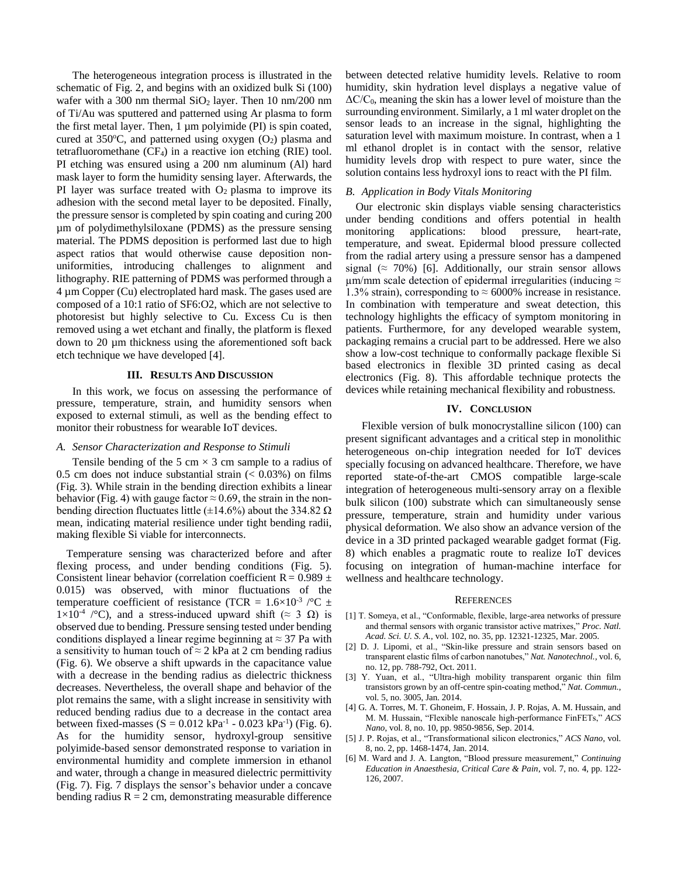The heterogeneous integration process is illustrated in the schematic of Fig. 2, and begins with an oxidized bulk Si (100) wafer with a 300 nm thermal  $SiO<sub>2</sub>$  layer. Then 10 nm/200 nm of Ti/Au was sputtered and patterned using Ar plasma to form the first metal layer. Then, 1 µm polyimide (PI) is spin coated, cured at 350 $^{\circ}$ C, and patterned using oxygen  $(O_2)$  plasma and tetrafluoromethane  $(CF_4)$  in a reactive ion etching  $(RIE)$  tool. PI etching was ensured using a 200 nm aluminum (Al) hard mask layer to form the humidity sensing layer. Afterwards, the PI layer was surface treated with  $O_2$  plasma to improve its adhesion with the second metal layer to be deposited. Finally, the pressure sensor is completed by spin coating and curing 200 µm of polydimethylsiloxane (PDMS) as the pressure sensing material. The PDMS deposition is performed last due to high aspect ratios that would otherwise cause deposition nonuniformities, introducing challenges to alignment and lithography. RIE patterning of PDMS was performed through a 4 µm Copper (Cu) electroplated hard mask. The gases used are composed of a 10:1 ratio of SF6:O2, which are not selective to photoresist but highly selective to Cu. Excess Cu is then removed using a wet etchant and finally, the platform is flexed down to 20 µm thickness using the aforementioned soft back etch technique we have developed [4].

## **III. RESULTS AND DISCUSSION**

In this work, we focus on assessing the performance of pressure, temperature, strain, and humidity sensors when exposed to external stimuli, as well as the bending effect to monitor their robustness for wearable IoT devices.

#### *A. Sensor Characterization and Response to Stimuli*

Tensile bending of the 5 cm  $\times$  3 cm sample to a radius of 0.5 cm does not induce substantial strain  $(< 0.03\%)$  on films (Fig. 3). While strain in the bending direction exhibits a linear behavior (Fig. 4) with gauge factor  $\approx 0.69$ , the strain in the nonbending direction fluctuates little ( $\pm$ 14.6%) about the 334.82  $\Omega$ mean, indicating material resilience under tight bending radii, making flexible Si viable for interconnects.

Temperature sensing was characterized before and after flexing process, and under bending conditions (Fig. 5). Consistent linear behavior (correlation coefficient R =  $0.989 \pm$ 0.015) was observed, with minor fluctuations of the temperature coefficient of resistance (TCR =  $1.6 \times 10^{-3}$  / $^{\circ}$ C  $\pm$  $1\times10^{-4}$  /°C), and a stress-induced upward shift ( $\approx$  3  $\Omega$ ) is observed due to bending. Pressure sensing tested under bending conditions displayed a linear regime beginning at  $\approx$  37 Pa with a sensitivity to human touch of  $\approx$  2 kPa at 2 cm bending radius (Fig. 6). We observe a shift upwards in the capacitance value with a decrease in the bending radius as dielectric thickness decreases. Nevertheless, the overall shape and behavior of the plot remains the same, with a slight increase in sensitivity with reduced bending radius due to a decrease in the contact area between fixed-masses  $(S = 0.012 \text{ kPa}^{-1} - 0.023 \text{ kPa}^{-1})$  (Fig. 6). As for the humidity sensor, hydroxyl-group sensitive polyimide-based sensor demonstrated response to variation in environmental humidity and complete immersion in ethanol and water, through a change in measured dielectric permittivity (Fig. 7). Fig. 7 displays the sensor's behavior under a concave bending radius  $R = 2$  cm, demonstrating measurable difference

between detected relative humidity levels. Relative to room humidity, skin hydration level displays a negative value of  $\Delta C/C_0$ , meaning the skin has a lower level of moisture than the surrounding environment. Similarly, a 1 ml water droplet on the sensor leads to an increase in the signal, highlighting the saturation level with maximum moisture. In contrast, when a 1 ml ethanol droplet is in contact with the sensor, relative humidity levels drop with respect to pure water, since the solution contains less hydroxyl ions to react with the PI film.

#### *B. Application in Body Vitals Monitoring*

Our electronic skin displays viable sensing characteristics under bending conditions and offers potential in health monitoring applications: blood pressure, heart-rate, temperature, and sweat. Epidermal blood pressure collected from the radial artery using a pressure sensor has a dampened signal ( $\approx$  70%) [6]. Additionally, our strain sensor allows  $\mu$ m/mm scale detection of epidermal irregularities (inducing  $\approx$ 1.3% strain), corresponding to  $\approx 6000\%$  increase in resistance. In combination with temperature and sweat detection, this technology highlights the efficacy of symptom monitoring in patients. Furthermore, for any developed wearable system, packaging remains a crucial part to be addressed. Here we also show a low-cost technique to conformally package flexible Si based electronics in flexible 3D printed casing as decal electronics (Fig. 8). This affordable technique protects the devices while retaining mechanical flexibility and robustness.

### **IV. CONCLUSION**

Flexible version of bulk monocrystalline silicon (100) can present significant advantages and a critical step in monolithic heterogeneous on-chip integration needed for IoT devices specially focusing on advanced healthcare. Therefore, we have reported state-of-the-art CMOS compatible large-scale integration of heterogeneous multi-sensory array on a flexible bulk silicon (100) substrate which can simultaneously sense pressure, temperature, strain and humidity under various physical deformation. We also show an advance version of the device in a 3D printed packaged wearable gadget format (Fig. 8) which enables a pragmatic route to realize IoT devices focusing on integration of human-machine interface for wellness and healthcare technology.

#### **REFERENCES**

- [1] T. Someya, et al., "Conformable, flexible, large-area networks of pressure and thermal sensors with organic transistor active matrixes," *Proc. Natl. Acad. Sci. U. S. A.*, vol. 102, no. 35, pp. 12321-12325, Mar. 2005.
- [2] D. J. Lipomi, et al., "Skin-like pressure and strain sensors based on transparent elastic films of carbon nanotubes," *Nat. Nanotechnol.,* vol. 6, no. 12, pp. 788-792, Oct. 2011.
- [3] Y. Yuan, et al., "Ultra-high mobility transparent organic thin film transistors grown by an off-centre spin-coating method," *Nat. Commun.*, vol. 5, no. 3005, Jan. 2014.
- [4] G. A. Torres, M. T. Ghoneim, F. Hossain, J. P. Rojas, A. M. Hussain, and M. M. Hussain, "Flexible nanoscale high-performance FinFETs," *ACS Nano*, vol. 8, no. 10, pp. 9850-9856, Sep. 2014.
- [5] J. P. Rojas, et al., "Transformational silicon electronics," *ACS Nano*, vol. 8, no. 2, pp. 1468-1474, Jan. 2014.
- [6] M. Ward and J. A. Langton, "Blood pressure measurement," *Continuing Education in Anaesthesia, Critical Care & Pain*, vol. 7, no. 4, pp. 122- 126, 2007.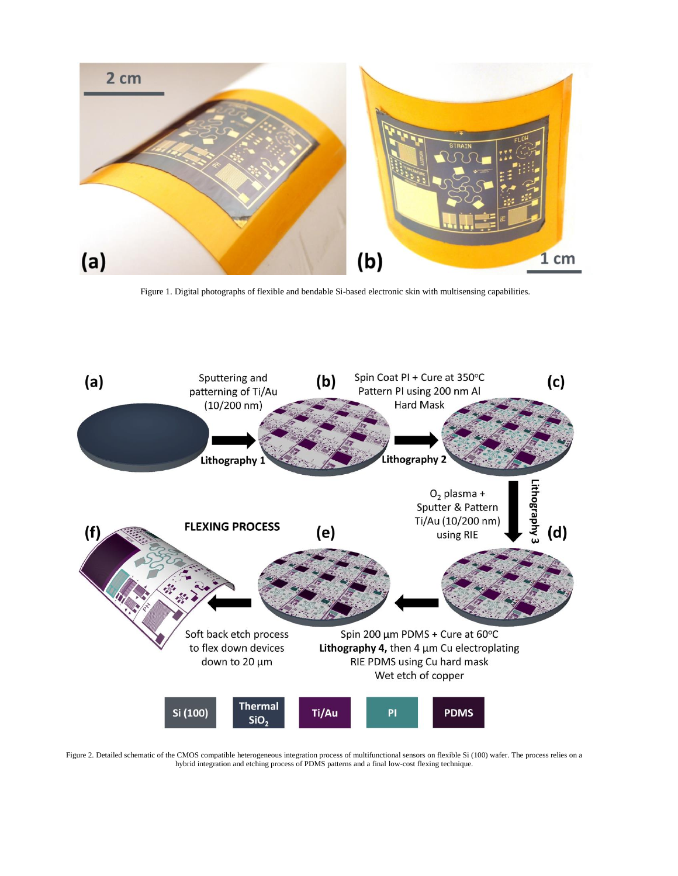

Figure 1. Digital photographs of flexible and bendable Si-based electronic skin with multisensing capabilities.



Figure 2. Detailed schematic of the CMOS compatible heterogeneous integration process of multifunctional sensors on flexible Si (100) wafer. The process relies on a hybrid integration and etching process of PDMS patterns and a final low-cost flexing technique.